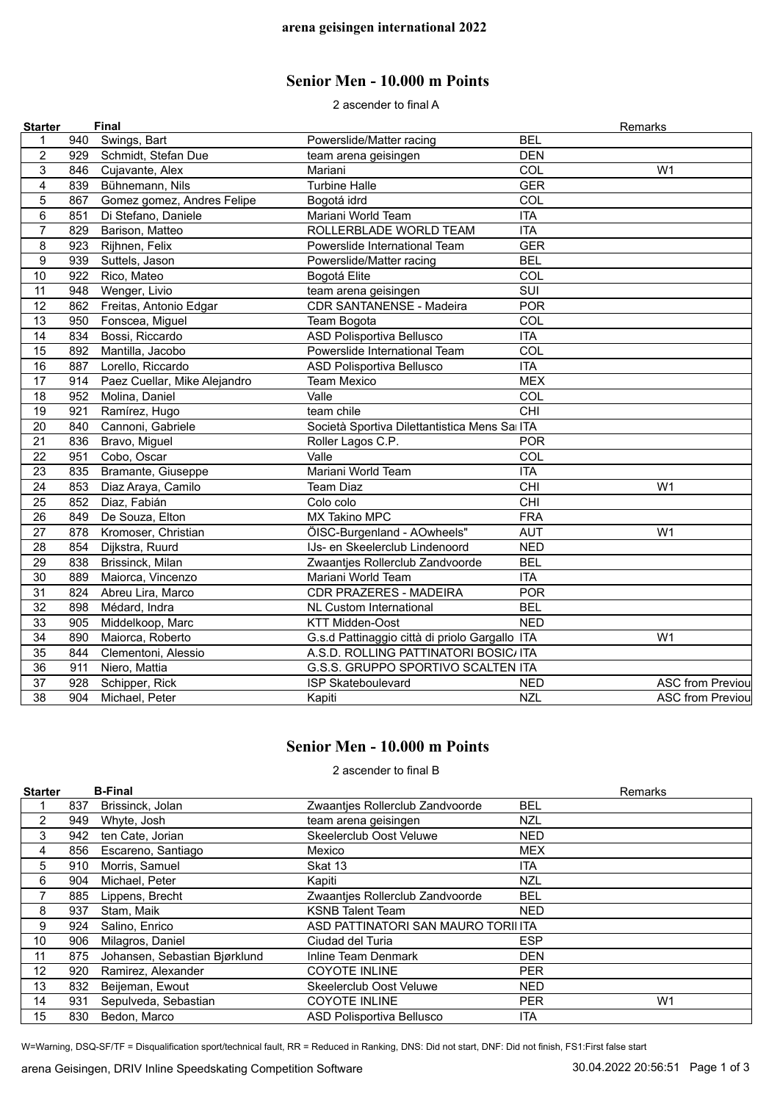## **Senior Men - 10.000 m Points**

2 ascender to final A

| <b>Starter</b>          |     | <b>Final</b>                 |                                                |                  | Remarks                 |
|-------------------------|-----|------------------------------|------------------------------------------------|------------------|-------------------------|
| 1                       | 940 | Swings, Bart                 | Powerslide/Matter racing                       | <b>BEL</b>       |                         |
| $\overline{c}$          | 929 | Schmidt, Stefan Due          | team arena geisingen                           | <b>DEN</b>       |                         |
| 3                       | 846 | Cujavante, Alex              | Mariani                                        | COL              | W <sub>1</sub>          |
| $\overline{\mathbf{4}}$ | 839 | Bühnemann, Nils              | <b>Turbine Halle</b>                           | <b>GER</b>       |                         |
| 5                       | 867 | Gomez gomez, Andres Felipe   | Bogotá idrd                                    | COL              |                         |
| $\,6$                   | 851 | Di Stefano, Daniele          | Mariani World Team                             | <b>ITA</b>       |                         |
| $\overline{7}$          | 829 | Barison, Matteo              | ROLLERBLADE WORLD TEAM                         | <b>ITA</b>       |                         |
| 8                       | 923 | Rijhnen, Felix               | Powerslide International Team                  | <b>GER</b>       |                         |
| $\boldsymbol{9}$        | 939 | Suttels, Jason               | Powerslide/Matter racing                       | <b>BEL</b>       |                         |
| 10                      | 922 | Rico, Mateo                  | Bogotá Elite                                   | COL              |                         |
| 11                      | 948 | Wenger, Livio                | team arena geisingen                           | $\overline{SUI}$ |                         |
| 12                      | 862 | Freitas, Antonio Edgar       | <b>CDR SANTANENSE - Madeira</b>                | <b>POR</b>       |                         |
| 13                      | 950 | Fonscea, Miguel              | Team Bogota                                    | COL              |                         |
| 14                      | 834 | Bossi, Riccardo              | <b>ASD Polisportiva Bellusco</b>               | <b>ITA</b>       |                         |
| 15                      | 892 | Mantilla, Jacobo             | Powerslide International Team                  | COL              |                         |
| 16                      | 887 | Lorello, Riccardo            | ASD Polisportiva Bellusco                      | <b>ITA</b>       |                         |
| 17                      | 914 | Paez Cuellar, Mike Alejandro | <b>Team Mexico</b>                             | <b>MEX</b>       |                         |
| 18                      | 952 | Molina, Daniel               | Valle                                          | COL              |                         |
| 19                      | 921 | Ramírez, Hugo                | team chile                                     | CHI              |                         |
| 20                      | 840 | Cannoni, Gabriele            | Società Sportiva Dilettantistica Mens Sa ITA   |                  |                         |
| 21                      | 836 | Bravo, Miguel                | Roller Lagos C.P.                              | <b>POR</b>       |                         |
| 22                      | 951 | Cobo, Oscar                  | Valle                                          | COL              |                         |
| 23                      | 835 | Bramante, Giuseppe           | Mariani World Team                             | <b>ITA</b>       |                         |
| 24                      | 853 | Diaz Araya, Camilo           | <b>Team Diaz</b>                               | CHI              | W <sub>1</sub>          |
| 25                      | 852 | Diaz, Fabián                 | Colo colo                                      | CHI              |                         |
| 26                      | 849 | De Souza, Elton              | <b>MX Takino MPC</b>                           | <b>FRA</b>       |                         |
| 27                      | 878 | Kromoser, Christian          | ÖISC-Burgenland - AOwheels"                    | <b>AUT</b>       | W <sub>1</sub>          |
| 28                      | 854 | Dijkstra, Ruurd              | IJs- en Skeelerclub Lindenoord                 | <b>NED</b>       |                         |
| 29                      | 838 | Brissinck, Milan             | Zwaantjes Rollerclub Zandvoorde                | <b>BEL</b>       |                         |
| 30                      | 889 | Maiorca, Vincenzo            | Mariani World Team                             | <b>ITA</b>       |                         |
| 31                      | 824 | Abreu Lira, Marco            | <b>CDR PRAZERES - MADEIRA</b>                  | <b>POR</b>       |                         |
| 32                      | 898 | Médard, Indra                | <b>NL Custom International</b>                 | <b>BEL</b>       |                         |
| 33                      | 905 | Middelkoop, Marc             | <b>KTT Midden-Oost</b>                         | <b>NED</b>       |                         |
| 34                      | 890 | Maiorca, Roberto             | G.s.d Pattinaggio città di priolo Gargallo ITA |                  | W <sub>1</sub>          |
| 35                      | 844 | Clementoni, Alessio          | A.S.D. ROLLING PATTINATORI BOSIC/ ITA          |                  |                         |
| 36                      | 911 | Niero, Mattia                | G.S.S. GRUPPO SPORTIVO SCALTEN ITA             |                  |                         |
| 37                      | 928 | Schipper, Rick               | <b>ISP Skateboulevard</b>                      | <b>NED</b>       | <b>ASC from Previou</b> |
| 38                      | 904 | Michael, Peter               | Kapiti                                         | <b>NZL</b>       | <b>ASC from Previou</b> |

## **Senior Men - 10.000 m Points**

2 ascender to final B

| <b>Starter</b> |     | <b>B-Final</b>                |                                    |            | Remarks        |
|----------------|-----|-------------------------------|------------------------------------|------------|----------------|
|                | 837 | Brissinck, Jolan              | Zwaanties Rollerclub Zandvoorde    | <b>BEL</b> |                |
| 2              | 949 | Whyte, Josh                   | team arena geisingen               | <b>NZL</b> |                |
| 3              | 942 | ten Cate, Jorian              | <b>Skeelerclub Oost Veluwe</b>     | <b>NED</b> |                |
| 4              | 856 | Escareno, Santiago            | Mexico                             | <b>MEX</b> |                |
| 5              | 910 | Morris, Samuel                | Skat 13                            | <b>ITA</b> |                |
| 6              | 904 | Michael, Peter                | Kapiti                             | <b>NZL</b> |                |
|                | 885 | Lippens, Brecht               | Zwaantjes Rollerclub Zandvoorde    | <b>BEL</b> |                |
| 8              | 937 | Stam, Maik                    | <b>KSNB Talent Team</b>            | <b>NED</b> |                |
| 9              | 924 | Salino, Enrico                | ASD PATTINATORI SAN MAURO TORILITA |            |                |
| 10             | 906 | Milagros, Daniel              | Ciudad del Turia                   | <b>ESP</b> |                |
| 11             | 875 | Johansen, Sebastian Bjørklund | Inline Team Denmark                | <b>DEN</b> |                |
| 12             | 920 | Ramirez, Alexander            | <b>COYOTE INLINE</b>               | <b>PER</b> |                |
| 13             | 832 | Beijeman, Ewout               | Skeelerclub Oost Veluwe            | <b>NED</b> |                |
| 14             | 931 | Sepulveda, Sebastian          | <b>COYOTE INLINE</b>               | <b>PER</b> | W <sub>1</sub> |
| 15             | 830 | Bedon, Marco                  | ASD Polisportiva Bellusco          | <b>ITA</b> |                |

W=Warning, DSQ-SF/TF = Disqualification sport/technical fault, RR = Reduced in Ranking, DNS: Did not start, DNF: Did not finish, FS1:First false start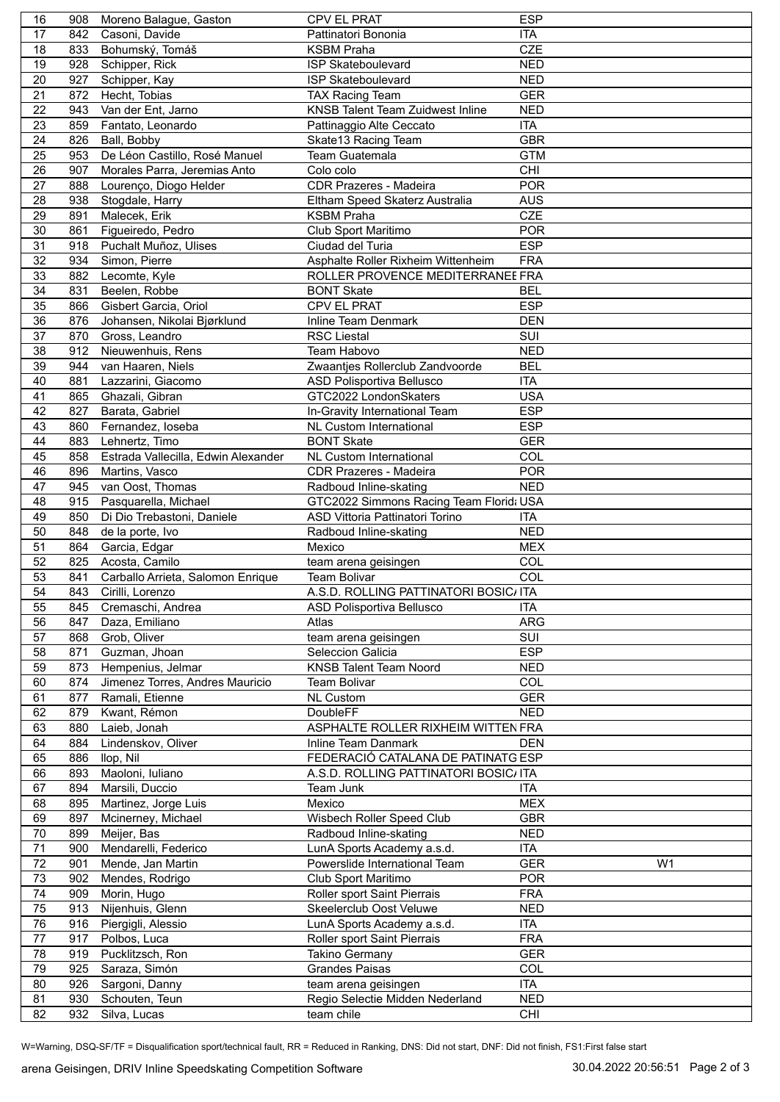| 16      | 908 | Moreno Balague, Gaston              | <b>CPV EL PRAT</b>                      | <b>ESP</b> |                |
|---------|-----|-------------------------------------|-----------------------------------------|------------|----------------|
| 17      | 842 | Casoni, Davide                      | Pattinatori Bononia                     | <b>ITA</b> |                |
| 18      | 833 | Bohumský, Tomáš                     | <b>KSBM Praha</b>                       | <b>CZE</b> |                |
| 19      | 928 | Schipper, Rick                      | <b>ISP Skateboulevard</b>               | <b>NED</b> |                |
| 20      | 927 | Schipper, Kay                       | <b>ISP Skateboulevard</b>               | <b>NED</b> |                |
| 21      | 872 | Hecht, Tobias                       | <b>TAX Racing Team</b>                  | <b>GER</b> |                |
|         |     |                                     |                                         |            |                |
| 22      | 943 | Van der Ent, Jarno                  | <b>KNSB Talent Team Zuidwest Inline</b> | <b>NED</b> |                |
| 23      | 859 | Fantato, Leonardo                   | Pattinaggio Alte Ceccato                | <b>ITA</b> |                |
| 24      | 826 | Ball, Bobby                         | Skate13 Racing Team                     | <b>GBR</b> |                |
| 25      | 953 | De Léon Castillo, Rosé Manuel       | Team Guatemala                          | <b>GTM</b> |                |
| 26      | 907 | Morales Parra, Jeremias Anto        | Colo colo                               | CHI        |                |
| 27      | 888 | Lourenço, Diogo Helder              | <b>CDR Prazeres - Madeira</b>           | <b>POR</b> |                |
| 28      | 938 | Stogdale, Harry                     | Eltham Speed Skaterz Australia          | <b>AUS</b> |                |
| 29      | 891 |                                     | <b>KSBM Praha</b>                       | <b>CZE</b> |                |
|         |     | Malecek, Erik                       |                                         |            |                |
| 30      | 861 | Figueiredo, Pedro                   | Club Sport Maritimo                     | <b>POR</b> |                |
| 31      | 918 | Puchalt Muñoz, Ulises               | Ciudad del Turia                        | <b>ESP</b> |                |
| 32      | 934 | Simon, Pierre                       | Asphalte Roller Rixheim Wittenheim      | <b>FRA</b> |                |
| 33      | 882 | Lecomte, Kyle                       | ROLLER PROVENCE MEDITERRANEE FRA        |            |                |
| 34      | 831 | Beelen, Robbe                       | <b>BONT Skate</b>                       | <b>BEL</b> |                |
| 35      | 866 | Gisbert Garcia, Oriol               | CPV EL PRAT                             | <b>ESP</b> |                |
| 36      | 876 | Johansen, Nikolai Bjørklund         | Inline Team Denmark                     | <b>DEN</b> |                |
|         |     | 870 Gross, Leandro                  |                                         |            |                |
| 37      |     |                                     | <b>RSC Liestal</b>                      | SUI        |                |
| 38      | 912 | Nieuwenhuis, Rens                   | Team Habovo                             | <b>NED</b> |                |
| 39      | 944 | van Haaren, Niels                   | Zwaantjes Rollerclub Zandvoorde         | <b>BEL</b> |                |
| 40      | 881 | Lazzarini, Giacomo                  | ASD Polisportiva Bellusco               | <b>ITA</b> |                |
| 41      | 865 | Ghazali, Gibran                     | GTC2022 LondonSkaters                   | <b>USA</b> |                |
| 42      | 827 | Barata, Gabriel                     | In-Gravity International Team           | <b>ESP</b> |                |
| 43      | 860 | Fernandez, loseba                   | NL Custom International                 | <b>ESP</b> |                |
| 44      | 883 | Lehnertz, Timo                      | <b>BONT Skate</b>                       | <b>GER</b> |                |
|         |     |                                     |                                         |            |                |
| 45      | 858 | Estrada Vallecilla, Edwin Alexander | NL Custom International                 | COL        |                |
| 46      | 896 | Martins, Vasco                      | <b>CDR Prazeres - Madeira</b>           | <b>POR</b> |                |
| 47      | 945 | van Oost, Thomas                    | Radboud Inline-skating                  | <b>NED</b> |                |
| 48      | 915 | Pasquarella, Michael                | GTC2022 Simmons Racing Team Florid: USA |            |                |
| 49      | 850 | Di Dio Trebastoni, Daniele          | ASD Vittoria Pattinatori Torino         | <b>ITA</b> |                |
| 50      | 848 | de la porte, Ivo                    | Radboud Inline-skating                  | <b>NED</b> |                |
| 51      | 864 | Garcia, Edgar                       | Mexico                                  | <b>MEX</b> |                |
| 52      | 825 | Acosta, Camilo                      | team arena geisingen                    | COL        |                |
|         |     |                                     |                                         |            |                |
| 53      | 841 | Carballo Arrieta, Salomon Enrique   | <b>Team Bolivar</b>                     | COL        |                |
| 54      | 843 | Cirilli, Lorenzo                    | A.S.D. ROLLING PATTINATORI BOSIC/ ITA   |            |                |
| 55      | 845 | Cremaschi, Andrea                   | ASD Polisportiva Bellusco               | ITA        |                |
| 56      | 847 | Daza, Emiliano                      | Atlas                                   | ARG        |                |
| 57      | 868 | Grob, Oliver                        | team arena geisingen                    | SUI        |                |
| 58      | 871 | Guzman, Jhoan                       | Seleccion Galicia                       | <b>ESP</b> |                |
| 59      | 873 | Hempenius, Jelmar                   | <b>KNSB Talent Team Noord</b>           | <b>NED</b> |                |
| 60      | 874 | Jimenez Torres, Andres Mauricio     | <b>Team Bolivar</b>                     | COL        |                |
|         |     |                                     |                                         |            |                |
| 61      | 877 | Ramali, Etienne                     | <b>NL Custom</b>                        | <b>GER</b> |                |
| 62      | 879 | Kwant, Rémon                        | DoubleFF                                | <b>NED</b> |                |
| 63      | 880 | Laieb, Jonah                        | ASPHALTE ROLLER RIXHEIM WITTEN FRA      |            |                |
| 64      | 884 | Lindenskov, Oliver                  | Inline Team Danmark                     | <b>DEN</b> |                |
| 65      | 886 | llop, Nil                           | FEDERACIÓ CATALANA DE PATINATG ESP      |            |                |
| 66      | 893 | Maoloni, Iuliano                    | A.S.D. ROLLING PATTINATORI BOSIC/ ITA   |            |                |
| 67      | 894 | Marsili, Duccio                     | Team Junk                               | ITA        |                |
| 68      | 895 | Martinez, Jorge Luis                | Mexico                                  | <b>MEX</b> |                |
|         |     |                                     |                                         |            |                |
| 69      | 897 | Mcinerney, Michael                  | Wisbech Roller Speed Club               | <b>GBR</b> |                |
| $70\,$  | 899 | Meijer, Bas                         | Radboud Inline-skating                  | <b>NED</b> |                |
| 71      | 900 | Mendarelli, Federico                | LunA Sports Academy a.s.d.              | <b>ITA</b> |                |
| 72      | 901 | Mende, Jan Martin                   | Powerslide International Team           | <b>GER</b> | W <sub>1</sub> |
| 73      | 902 | Mendes, Rodrigo                     | Club Sport Maritimo                     | <b>POR</b> |                |
| 74      | 909 | Morin, Hugo                         | Roller sport Saint Pierrais             | <b>FRA</b> |                |
| 75      | 913 | Nijenhuis, Glenn                    | Skeelerclub Oost Veluwe                 | <b>NED</b> |                |
| 76      | 916 | Piergigli, Alessio                  | LunA Sports Academy a.s.d.              | <b>ITA</b> |                |
| $77 \,$ | 917 | Polbos, Luca                        | Roller sport Saint Pierrais             | <b>FRA</b> |                |
|         |     |                                     |                                         |            |                |
| 78      | 919 | Pucklitzsch, Ron                    | <b>Takino Germany</b>                   | <b>GER</b> |                |
| 79      | 925 | Saraza, Simón                       | <b>Grandes Paisas</b>                   | <b>COL</b> |                |
| 80      | 926 | Sargoni, Danny                      | team arena geisingen                    | <b>ITA</b> |                |
| 81      | 930 | Schouten, Teun                      | Regio Selectie Midden Nederland         | <b>NED</b> |                |
| 82      | 932 | Silva, Lucas                        | team chile                              | CHI        |                |
|         |     |                                     |                                         |            |                |

W=Warning, DSQ-SF/TF = Disqualification sport/technical fault, RR = Reduced in Ranking, DNS: Did not start, DNF: Did not finish, FS1:First false start